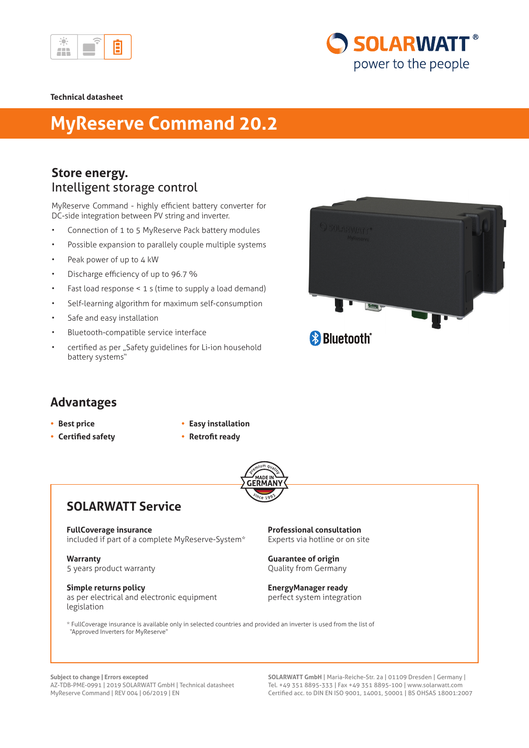

# **SOLARWATT®** power to the people

#### **Technical datasheet**

## **MyReserve Command 20.2**

### **Store energy.** Intelligent storage control

MyReserve Command - highly efficient battery converter for DC-side integration between PV string and inverter.

- Connection of 1 to 5 MyReserve Pack battery modules
- Possible expansion to parallely couple multiple systems
- Peak power of up to 4 kW
- Discharge efficiency of up to 96.7 %
- Fast load response < 1 s (time to supply a load demand)
- Self-learning algorithm for maximum self-consumption
- Safe and easy installation
- Bluetooth-compatible service interface
- certified as per "Safety guidelines for Li-ion household battery systems"



### **Advantages**

- **• Best price**
- **• Certified safety**
- **• Easy installation**
- **• Retrofit ready**



## **SOLARWATT Service**

**FullCoverage insurance** included if part of a complete MyReserve-System\*

**Warranty** 5 years product warranty

**Simple returns policy** as per electrical and electronic equipment legislation

**Professional consultation** Experts via hotline or on site

**Guarantee of origin** Quality from Germany

**EnergyManager ready** perfect system integration

\* FullCoverage insurance is available only in selected countries and provided an inverter is used from the list of "Approved Inverters for MyReserve"

**Subject to change | Errors excepted**  AZ-TDB-PME-0991 | 2019 SOLARWATT GmbH | Technical datasheet MyReserve Command | REV 004 | 06/2019 | EN

**SOLARWATT GmbH** | Maria-Reiche-Str. 2a | 01109 Dresden | Germany | Tel. +49 351 8895-333 | Fax +49 351 8895-100 | www.solarwatt.com Certified acc. to DIN EN ISO 9001, 14001, 50001 | BS OHSAS 18001:2007